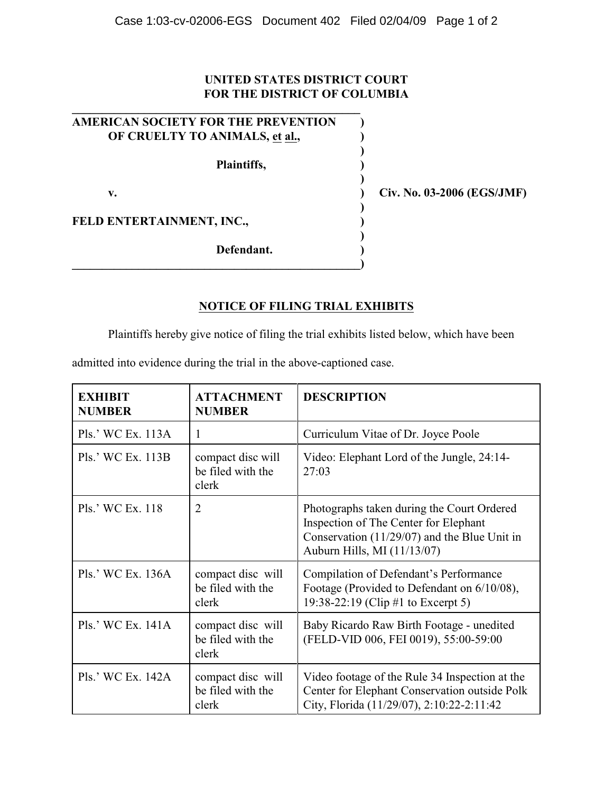## **UNITED STATES DISTRICT COURT FOR THE DISTRICT OF COLUMBIA**

| <b>AMERICAN SOCIETY FOR THE PREVENTION</b><br>OF CRUELTY TO ANIMALS, et al., |              |
|------------------------------------------------------------------------------|--------------|
| Plaintiffs,                                                                  |              |
| v.                                                                           | Civ. No. 03- |
| FELD ENTERTAINMENT, INC.,                                                    |              |
| Defendant.                                                                   |              |

**\_\_\_\_\_\_\_\_\_\_\_\_\_\_\_\_\_\_\_\_\_\_\_\_\_\_\_\_\_\_\_\_\_\_\_\_\_\_\_\_\_\_\_\_\_\_\_\_**

**v. ) Civ. No. 03-2006 (EGS/JMF)**

## **NOTICE OF FILING TRIAL EXHIBITS**

Plaintiffs hereby give notice of filing the trial exhibits listed below, which have been

admitted into evidence during the trial in the above-captioned case.

| <b>EXHIBIT</b><br><b>NUMBER</b> | <b>ATTACHMENT</b><br><b>NUMBER</b>              | <b>DESCRIPTION</b>                                                                                                                                                   |
|---------------------------------|-------------------------------------------------|----------------------------------------------------------------------------------------------------------------------------------------------------------------------|
| Pls.' WC Ex. 113A               | 1                                               | Curriculum Vitae of Dr. Joyce Poole                                                                                                                                  |
| Pls.' WC Ex. 113B               | compact disc will<br>be filed with the<br>clerk | Video: Elephant Lord of the Jungle, 24:14-<br>27:03                                                                                                                  |
| Pls.' WC Ex. 118                | $\overline{2}$                                  | Photographs taken during the Court Ordered<br>Inspection of The Center for Elephant<br>Conservation $(11/29/07)$ and the Blue Unit in<br>Auburn Hills, MI (11/13/07) |
| Pls.' WC Ex. 136A               | compact disc will<br>be filed with the<br>clerk | Compilation of Defendant's Performance<br>Footage (Provided to Defendant on 6/10/08),<br>19:38-22:19 (Clip #1 to Excerpt 5)                                          |
| Pls.' WC Ex. 141A               | compact disc will<br>be filed with the<br>clerk | Baby Ricardo Raw Birth Footage - unedited<br>(FELD-VID 006, FEI 0019), 55:00-59:00                                                                                   |
| Pls.' WC Ex. 142A               | compact disc will<br>be filed with the<br>clerk | Video footage of the Rule 34 Inspection at the<br>Center for Elephant Conservation outside Polk<br>City, Florida (11/29/07), 2:10:22-2:11:42                         |